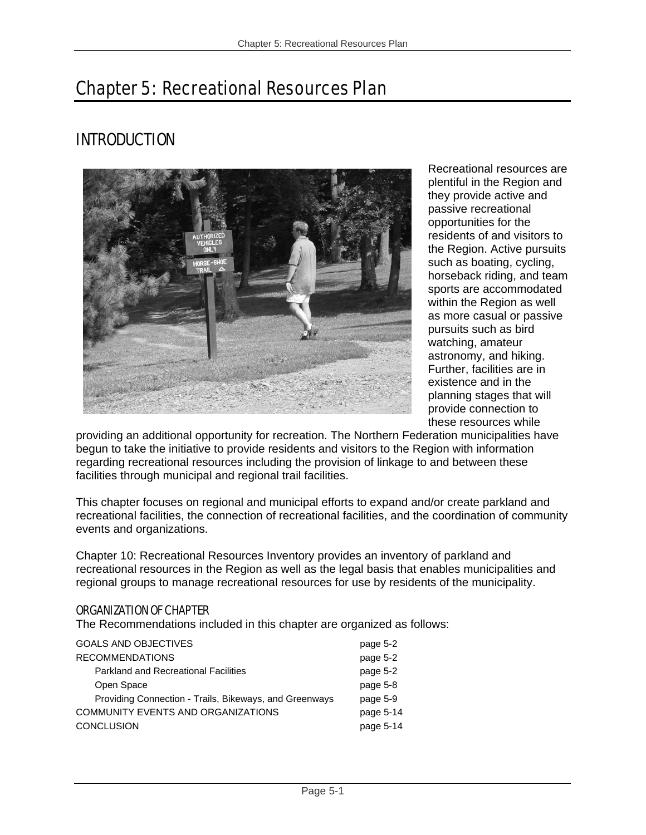# Chapter 5: Recreational Resources Plan

# INTRODUCTION



Recreational resources are plentiful in the Region and they provide active and passive recreational opportunities for the residents of and visitors to the Region. Active pursuits such as boating, cycling, horseback riding, and team sports are accommodated within the Region as well as more casual or passive pursuits such as bird watching, amateur astronomy, and hiking. Further, facilities are in existence and in the planning stages that will provide connection to these resources while

providing an additional opportunity for recreation. The Northern Federation municipalities have begun to take the initiative to provide residents and visitors to the Region with information regarding recreational resources including the provision of linkage to and between these facilities through municipal and regional trail facilities.

This chapter focuses on regional and municipal efforts to expand and/or create parkland and recreational facilities, the connection of recreational facilities, and the coordination of community events and organizations.

Chapter 10: Recreational Resources Inventory provides an inventory of parkland and recreational resources in the Region as well as the legal basis that enables municipalities and regional groups to manage recreational resources for use by residents of the municipality.

## ORGANIZATION OF CHAPTER

The Recommendations included in this chapter are organized as follows:

| COMMUNITY EVENTS AND ORGANIZATIONS<br><b>CONCLUSION</b> | page 5-14<br>page 5-14 |
|---------------------------------------------------------|------------------------|
| Providing Connection - Trails, Bikeways, and Greenways  | page 5-9               |
| Open Space                                              | page 5-8               |
| <b>Parkland and Recreational Facilities</b>             | page 5-2               |
| <b>RECOMMENDATIONS</b>                                  | page 5-2               |
| <b>GOALS AND OBJECTIVES</b>                             | page 5-2               |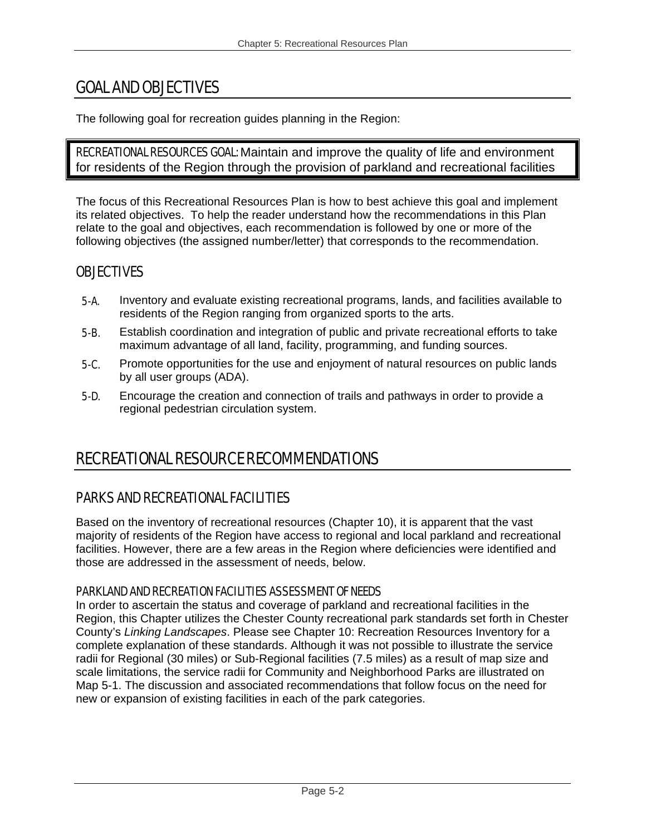# GOAL AND OBJECTIVES

The following goal for recreation guides planning in the Region:

RECREATIONAL RESOURCES GOAL: Maintain and improve the quality of life and environment for residents of the Region through the provision of parkland and recreational facilities

The focus of this Recreational Resources Plan is how to best achieve this goal and implement its related objectives. To help the reader understand how the recommendations in this Plan relate to the goal and objectives, each recommendation is followed by one or more of the following objectives (the assigned number/letter) that corresponds to the recommendation.

## **OBJECTIVES**

- 5-A. Inventory and evaluate existing recreational programs, lands, and facilities available to residents of the Region ranging from organized sports to the arts.
- **5-B.** Establish coordination and integration of public and private recreational efforts to take maximum advantage of all land, facility, programming, and funding sources.
- 5-C. Promote opportunities for the use and enjoyment of natural resources on public lands by all user groups (ADA).
- **5-D.** Encourage the creation and connection of trails and pathways in order to provide a regional pedestrian circulation system.

# RECREATIONAL RESOURCE RECOMMENDATIONS

## PARKS AND RECREATIONAL FACILITIES

Based on the inventory of recreational resources (Chapter 10), it is apparent that the vast majority of residents of the Region have access to regional and local parkland and recreational facilities. However, there are a few areas in the Region where deficiencies were identified and those are addressed in the assessment of needs, below.

## PARKLAND AND RECREATION FACILITIES ASSESSMENT OF NEEDS

In order to ascertain the status and coverage of parkland and recreational facilities in the Region, this Chapter utilizes the Chester County recreational park standards set forth in Chester County's *Linking Landscapes*. Please see Chapter 10: Recreation Resources Inventory for a complete explanation of these standards. Although it was not possible to illustrate the service radii for Regional (30 miles) or Sub-Regional facilities (7.5 miles) as a result of map size and scale limitations, the service radii for Community and Neighborhood Parks are illustrated on Map 5-1. The discussion and associated recommendations that follow focus on the need for new or expansion of existing facilities in each of the park categories.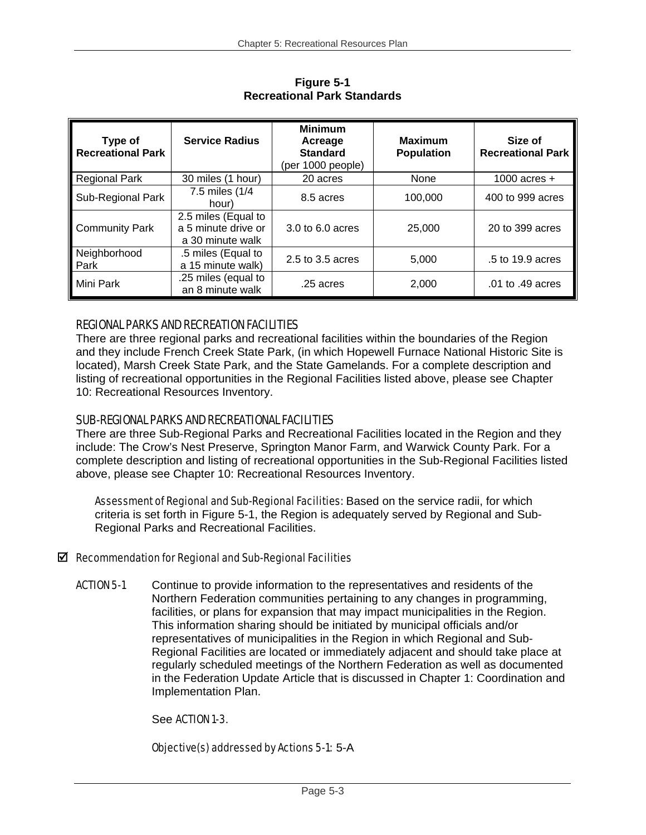| Type of<br><b>Recreational Park</b> | <b>Service Radius</b>                                          | <b>Minimum</b><br>Acreage<br><b>Standard</b><br>(per 1000 people) | <b>Maximum</b><br><b>Population</b> | Size of<br><b>Recreational Park</b> |
|-------------------------------------|----------------------------------------------------------------|-------------------------------------------------------------------|-------------------------------------|-------------------------------------|
| <b>Regional Park</b>                | 30 miles (1 hour)                                              | 20 acres                                                          | None                                | 1000 acres $+$                      |
| Sub-Regional Park                   | 7.5 miles (1/4<br>hour)                                        | 8.5 acres                                                         | 100,000                             | 400 to 999 acres                    |
| <b>Community Park</b>               | 2.5 miles (Equal to<br>a 5 minute drive or<br>a 30 minute walk | 3.0 to 6.0 acres                                                  | 25,000                              | 20 to 399 acres                     |
| Neighborhood<br>Park                | .5 miles (Equal to<br>a 15 minute walk)                        | 2.5 to 3.5 acres                                                  | 5,000                               | .5 to 19.9 acres                    |
| Mini Park                           | .25 miles (equal to<br>an 8 minute walk                        | .25 acres                                                         | 2,000                               | .01 to .49 acres                    |

**Figure 5-1 Recreational Park Standards** 

## REGIONAL PARKS AND RECREATION FACILITIES

There are three regional parks and recreational facilities within the boundaries of the Region and they include French Creek State Park, (in which Hopewell Furnace National Historic Site is located), Marsh Creek State Park, and the State Gamelands. For a complete description and listing of recreational opportunities in the Regional Facilities listed above, please see Chapter 10: Recreational Resources Inventory.

## SUB-REGIONAL PARKS AND RECREATIONAL FACILITIES

There are three Sub-Regional Parks and Recreational Facilities located in the Region and they include: The Crow's Nest Preserve, Springton Manor Farm, and Warwick County Park. For a complete description and listing of recreational opportunities in the Sub-Regional Facilities listed above, please see Chapter 10: Recreational Resources Inventory.

Assessment of Regional and Sub-Regional Facilities: Based on the service radii, for which criteria is set forth in Figure 5-1, the Region is adequately served by Regional and Sub-Regional Parks and Recreational Facilities.

## $\boxtimes$  Recommendation for Regional and Sub-Regional Facilities

ACTION 5-1 Continue to provide information to the representatives and residents of the Northern Federation communities pertaining to any changes in programming, facilities, or plans for expansion that may impact municipalities in the Region. This information sharing should be initiated by municipal officials and/or representatives of municipalities in the Region in which Regional and Sub-Regional Facilities are located or immediately adjacent and should take place at regularly scheduled meetings of the Northern Federation as well as documented in the Federation Update Article that is discussed in Chapter 1: Coordination and Implementation Plan.

## See ACTION 1-3.

Objective(s) addressed by Actions 5-1: 5-A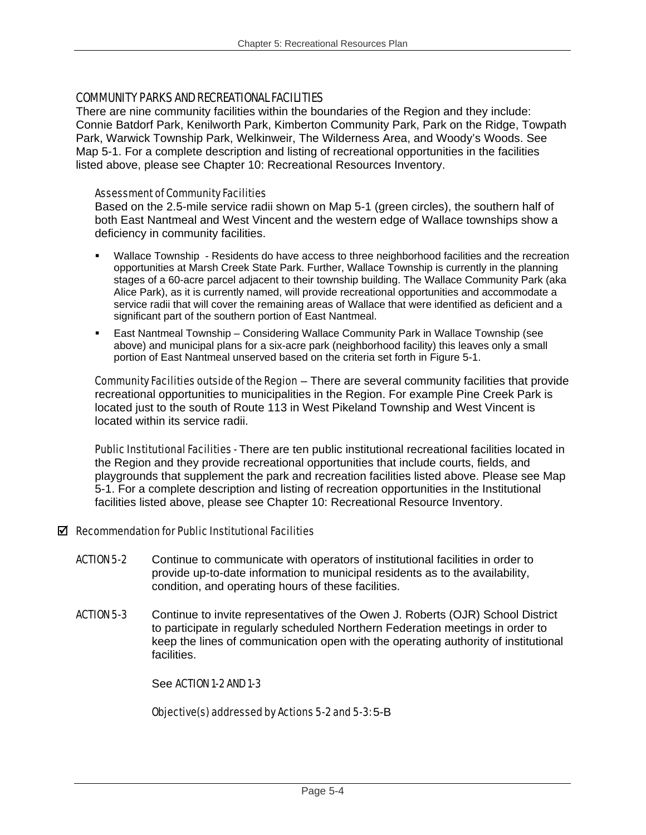### COMMUNITY PARKS AND RECREATIONAL FACILITIES

There are nine community facilities within the boundaries of the Region and they include: Connie Batdorf Park, Kenilworth Park, Kimberton Community Park, Park on the Ridge, Towpath Park, Warwick Township Park, Welkinweir, The Wilderness Area, and Woody's Woods. See Map 5-1. For a complete description and listing of recreational opportunities in the facilities listed above, please see Chapter 10: Recreational Resources Inventory.

#### Assessment of Community Facilities

Based on the 2.5-mile service radii shown on Map 5-1 (green circles), the southern half of both East Nantmeal and West Vincent and the western edge of Wallace townships show a deficiency in community facilities.

- Wallace Township Residents do have access to three neighborhood facilities and the recreation opportunities at Marsh Creek State Park. Further, Wallace Township is currently in the planning stages of a 60-acre parcel adjacent to their township building. The Wallace Community Park (aka Alice Park), as it is currently named, will provide recreational opportunities and accommodate a service radii that will cover the remaining areas of Wallace that were identified as deficient and a significant part of the southern portion of East Nantmeal.
- East Nantmeal Township Considering Wallace Community Park in Wallace Township (see above) and municipal plans for a six-acre park (neighborhood facility) this leaves only a small portion of East Nantmeal unserved based on the criteria set forth in Figure 5-1.

Community Facilities outside of the Region – There are several community facilities that provide recreational opportunities to municipalities in the Region. For example Pine Creek Park is located just to the south of Route 113 in West Pikeland Township and West Vincent is located within its service radii.

Public Institutional Facilities - There are ten public institutional recreational facilities located in the Region and they provide recreational opportunities that include courts, fields, and playgrounds that supplement the park and recreation facilities listed above. Please see Map 5-1. For a complete description and listing of recreation opportunities in the Institutional facilities listed above, please see Chapter 10: Recreational Resource Inventory.

#### $\boxtimes$  Recommendation for Public Institutional Facilities

- ACTION 5-2 Continue to communicate with operators of institutional facilities in order to provide up-to-date information to municipal residents as to the availability, condition, and operating hours of these facilities.
- ACTION 5-3 Continue to invite representatives of the Owen J. Roberts (OJR) School District to participate in regularly scheduled Northern Federation meetings in order to keep the lines of communication open with the operating authority of institutional facilities.

#### See ACTION 1-2 AND 1-3

#### Objective(s) addressed by Actions 5-2 and 5-3: 5-B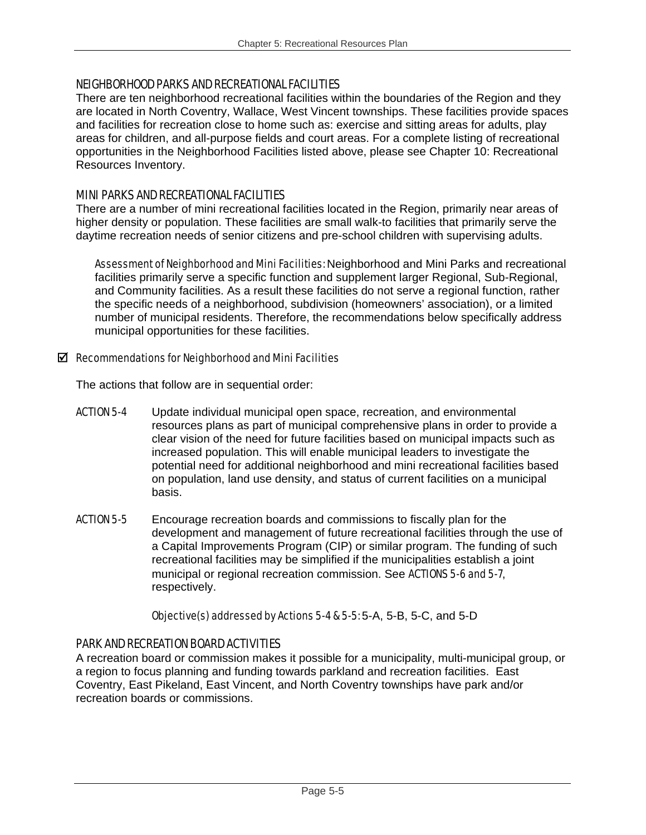### NEIGHBORHOOD PARKS AND RECREATIONAL FACILITIES

There are ten neighborhood recreational facilities within the boundaries of the Region and they are located in North Coventry, Wallace, West Vincent townships. These facilities provide spaces and facilities for recreation close to home such as: exercise and sitting areas for adults, play areas for children, and all-purpose fields and court areas. For a complete listing of recreational opportunities in the Neighborhood Facilities listed above, please see Chapter 10: Recreational Resources Inventory.

### MINI PARKS AND RECREATIONAL FACILITIES

There are a number of mini recreational facilities located in the Region, primarily near areas of higher density or population. These facilities are small walk-to facilities that primarily serve the daytime recreation needs of senior citizens and pre-school children with supervising adults.

Assessment of Neighborhood and Mini Facilities: Neighborhood and Mini Parks and recreational facilities primarily serve a specific function and supplement larger Regional, Sub-Regional, and Community facilities. As a result these facilities do not serve a regional function, rather the specific needs of a neighborhood, subdivision (homeowners' association), or a limited number of municipal residents. Therefore, the recommendations below specifically address municipal opportunities for these facilities.

#### $\boxtimes$  Recommendations for Neighborhood and Mini Facilities

The actions that follow are in sequential order:

- ACTION 5-4 Update individual municipal open space, recreation, and environmental resources plans as part of municipal comprehensive plans in order to provide a clear vision of the need for future facilities based on municipal impacts such as increased population. This will enable municipaI leaders to investigate the potential need for additional neighborhood and mini recreational facilities based on population, land use density, and status of current facilities on a municipal basis.
- ACTION 5-5 Encourage recreation boards and commissions to fiscally plan for the development and management of future recreational facilities through the use of a Capital Improvements Program (CIP) or similar program. The funding of such recreational facilities may be simplified if the municipalities establish a joint municipal or regional recreation commission. See ACTIONS 5-6 and 5-7, respectively.

## Objective(s) addressed by Actions 5-4 & 5-5: 5-A, 5-B, 5-C, and 5-D

## PARK AND RECREATION BOARD ACTIVITIES

A recreation board or commission makes it possible for a municipality, multi-municipal group, or a region to focus planning and funding towards parkland and recreation facilities. East Coventry, East Pikeland, East Vincent, and North Coventry townships have park and/or recreation boards or commissions.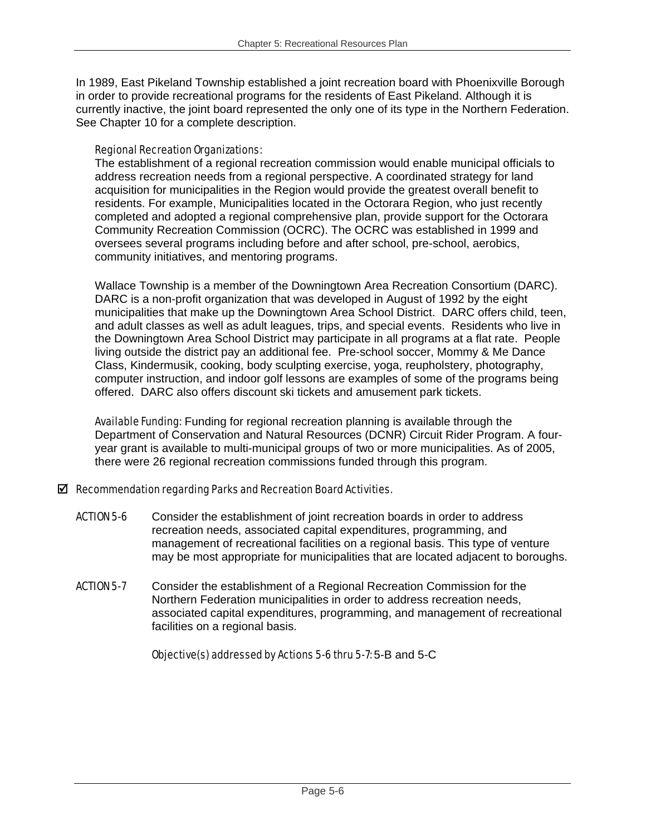In 1989, East Pikeland Township established a joint recreation board with Phoenixville Borough in order to provide recreational programs for the residents of East Pikeland. Although it is currently inactive, the joint board represented the only one of its type in the Northern Federation. See Chapter 10 for a complete description.

#### Regional Recreation Organizations:

The establishment of a regional recreation commission would enable municipal officials to address recreation needs from a regional perspective. A coordinated strategy for land acquisition for municipalities in the Region would provide the greatest overall benefit to residents. For example, Municipalities located in the Octorara Region, who just recently completed and adopted a regional comprehensive plan, provide support for the Octorara Community Recreation Commission (OCRC). The OCRC was established in 1999 and oversees several programs including before and after school, pre-school, aerobics, community initiatives, and mentoring programs.

Wallace Township is a member of the Downingtown Area Recreation Consortium (DARC). DARC is a non-profit organization that was developed in August of 1992 by the eight municipalities that make up the Downingtown Area School District. DARC offers child, teen, and adult classes as well as adult leagues, trips, and special events. Residents who live in the Downingtown Area School District may participate in all programs at a flat rate. People living outside the district pay an additional fee. Pre-school soccer, Mommy & Me Dance Class, Kindermusik, cooking, body sculpting exercise, yoga, reupholstery, photography, computer instruction, and indoor golf lessons are examples of some of the programs being offered. DARC also offers discount ski tickets and amusement park tickets.

Available Funding: Funding for regional recreation planning is available through the Department of Conservation and Natural Resources (DCNR) Circuit Rider Program. A fouryear grant is available to multi-municipal groups of two or more municipalities. As of 2005, there were 26 regional recreation commissions funded through this program.

## $\boxtimes$  Recommendation regarding Parks and Recreation Board Activities.

- ACTION 5-6 Consider the establishment of joint recreation boards in order to address recreation needs, associated capital expenditures, programming, and management of recreational facilities on a regional basis. This type of venture may be most appropriate for municipalities that are located adjacent to boroughs.
- **ACTION 5-7** Consider the establishment of a Regional Recreation Commission for the Northern Federation municipalities in order to address recreation needs, associated capital expenditures, programming, and management of recreational facilities on a regional basis.

## Objective(s) addressed by Actions 5-6 thru 5-7: 5-B and 5-C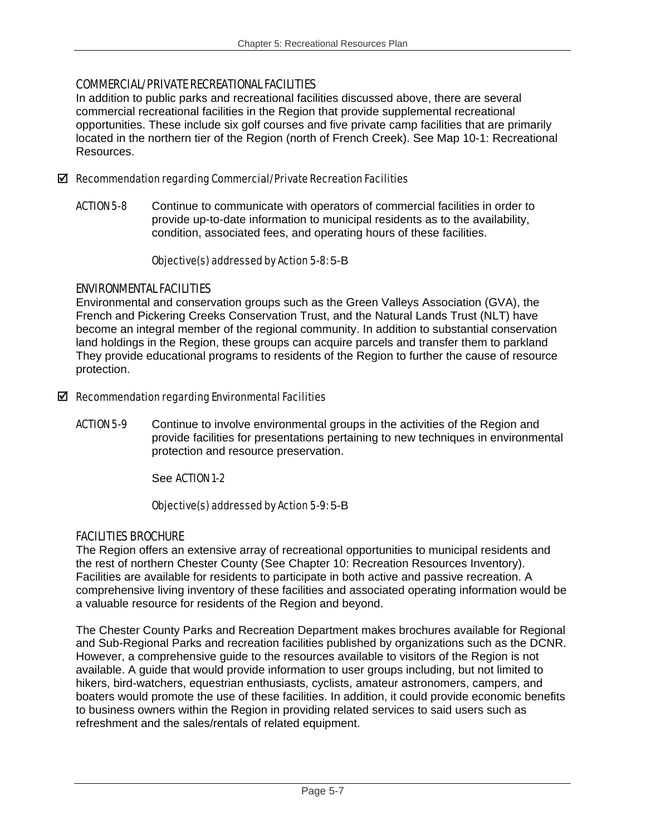## COMMERCIAL/PRIVATE RECREATIONAL FACILITIES

In addition to public parks and recreational facilities discussed above, there are several commercial recreational facilities in the Region that provide supplemental recreational opportunities. These include six golf courses and five private camp facilities that are primarily located in the northern tier of the Region (north of French Creek). See Map 10-1: Recreational Resources.

### $\boxtimes$  Recommendation regarding Commercial/Private Recreation Facilities

ACTION 5-8 Continue to communicate with operators of commercial facilities in order to provide up-to-date information to municipal residents as to the availability, condition, associated fees, and operating hours of these facilities.

#### Objective(s) addressed by Action 5-8: 5-B

## ENVIRONMENTAL FACILITIES

Environmental and conservation groups such as the Green Valleys Association (GVA), the French and Pickering Creeks Conservation Trust, and the Natural Lands Trust (NLT) have become an integral member of the regional community. In addition to substantial conservation land holdings in the Region, these groups can acquire parcels and transfer them to parkland They provide educational programs to residents of the Region to further the cause of resource protection.

#### $\boxtimes$  Recommendation regarding Environmental Facilities

**ACTION 5-9** Continue to involve environmental groups in the activities of the Region and provide facilities for presentations pertaining to new techniques in environmental protection and resource preservation.

## See ACTION 1-2

## Objective(s) addressed by Action 5-9: 5-B

## FACILITIES BROCHURE

The Region offers an extensive array of recreational opportunities to municipal residents and the rest of northern Chester County (See Chapter 10: Recreation Resources Inventory). Facilities are available for residents to participate in both active and passive recreation. A comprehensive living inventory of these facilities and associated operating information would be a valuable resource for residents of the Region and beyond.

The Chester County Parks and Recreation Department makes brochures available for Regional and Sub-Regional Parks and recreation facilities published by organizations such as the DCNR. However, a comprehensive guide to the resources available to visitors of the Region is not available. A guide that would provide information to user groups including, but not limited to hikers, bird-watchers, equestrian enthusiasts, cyclists, amateur astronomers, campers, and boaters would promote the use of these facilities. In addition, it could provide economic benefits to business owners within the Region in providing related services to said users such as refreshment and the sales/rentals of related equipment.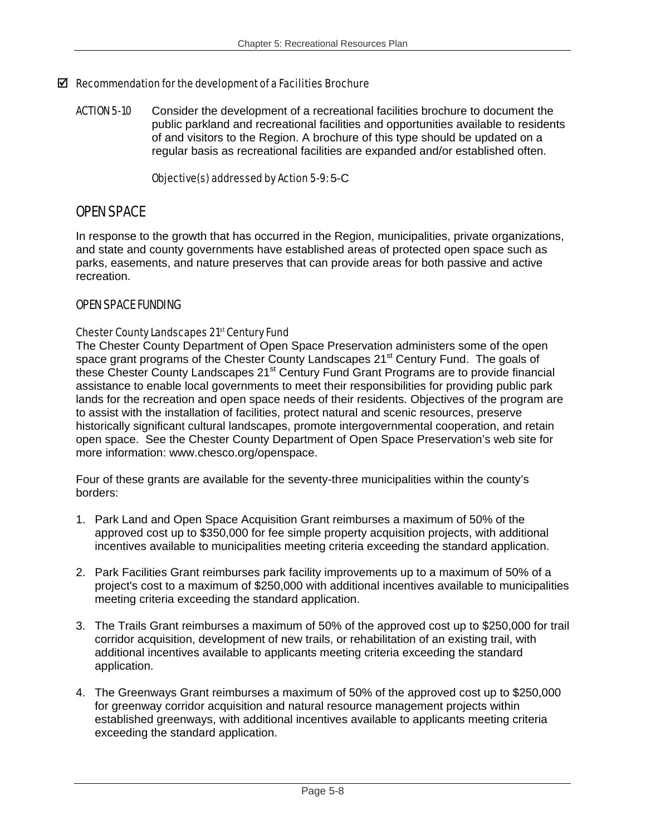### $\boxtimes$  Recommendation for the development of a Facilities Brochure

ACTION 5-10 Consider the development of a recreational facilities brochure to document the public parkland and recreational facilities and opportunities available to residents of and visitors to the Region. A brochure of this type should be updated on a regular basis as recreational facilities are expanded and/or established often.

#### Objective(s) addressed by Action 5-9: 5-C

## OPEN SPACE

In response to the growth that has occurred in the Region, municipalities, private organizations, and state and county governments have established areas of protected open space such as parks, easements, and nature preserves that can provide areas for both passive and active recreation.

## OPEN SPACE FUNDING

#### Chester County Landscapes 21<sup>st</sup> Century Fund

The Chester County Department of Open Space Preservation administers some of the open space grant programs of the Chester County Landscapes 21<sup>st</sup> Century Fund. The goals of these Chester County Landscapes 21<sup>st</sup> Century Fund Grant Programs are to provide financial assistance to enable local governments to meet their responsibilities for providing public park lands for the recreation and open space needs of their residents. Objectives of the program are to assist with the installation of facilities, protect natural and scenic resources, preserve historically significant cultural landscapes, promote intergovernmental cooperation, and retain open space. See the Chester County Department of Open Space Preservation's web site for more information: www.chesco.org/openspace.

Four of these grants are available for the seventy-three municipalities within the county's borders:

- 1. Park Land and Open Space Acquisition Grant reimburses a maximum of 50% of the approved cost up to \$350,000 for fee simple property acquisition projects, with additional incentives available to municipalities meeting criteria exceeding the standard application.
- 2. Park Facilities Grant reimburses park facility improvements up to a maximum of 50% of a project's cost to a maximum of \$250,000 with additional incentives available to municipalities meeting criteria exceeding the standard application.
- 3. The Trails Grant reimburses a maximum of 50% of the approved cost up to \$250,000 for trail corridor acquisition, development of new trails, or rehabilitation of an existing trail, with additional incentives available to applicants meeting criteria exceeding the standard application.
- 4. The Greenways Grant reimburses a maximum of 50% of the approved cost up to \$250,000 for greenway corridor acquisition and natural resource management projects within established greenways, with additional incentives available to applicants meeting criteria exceeding the standard application.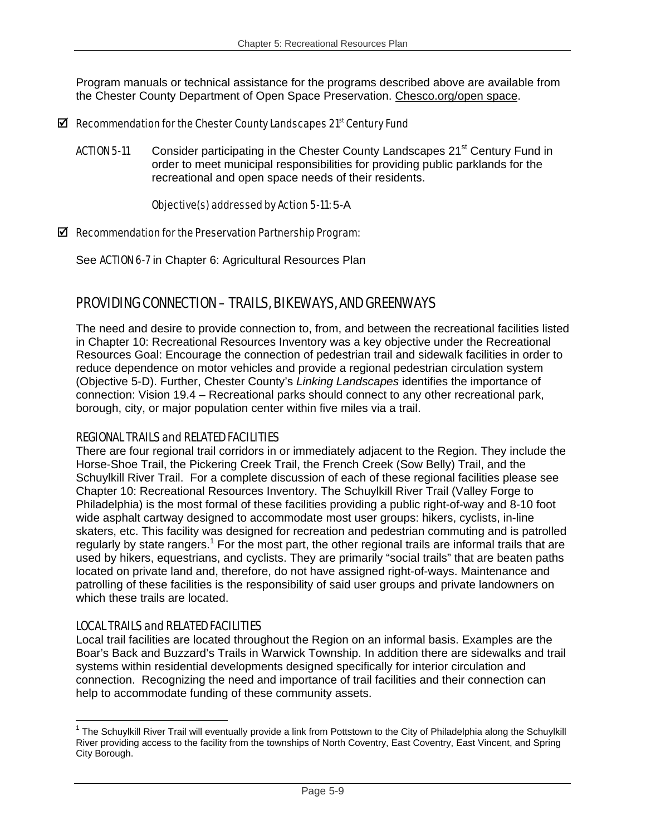Program manuals or technical assistance for the programs described above are available from the Chester County Department of Open Space Preservation. Chesco.org/open space.

#### $\boxtimes$  Recommendation for the Chester County Landscapes 21st Century Fund

ACTION 5-11 Consider participating in the Chester County Landscapes 21<sup>st</sup> Century Fund in order to meet municipal responsibilities for providing public parklands for the recreational and open space needs of their residents.

#### Objective(s) addressed by Action 5-11: 5-A

#### $\boxtimes$  Recommendation for the Preservation Partnership Program:

See ACTION 6-7 in Chapter 6: Agricultural Resources Plan

## PROVIDING CONNECTION – TRAILS, BIKEWAYS, AND GREENWAYS

The need and desire to provide connection to, from, and between the recreational facilities listed in Chapter 10: Recreational Resources Inventory was a key objective under the Recreational Resources Goal: Encourage the connection of pedestrian trail and sidewalk facilities in order to reduce dependence on motor vehicles and provide a regional pedestrian circulation system (Objective 5-D). Further, Chester County's *Linking Landscapes* identifies the importance of connection: Vision 19.4 – Recreational parks should connect to any other recreational park, borough, city, or major population center within five miles via a trail.

## REGIONAL TRAILS and RELATED FACILITIES

There are four regional trail corridors in or immediately adjacent to the Region. They include the Horse-Shoe Trail, the Pickering Creek Trail, the French Creek (Sow Belly) Trail, and the Schuylkill River Trail. For a complete discussion of each of these regional facilities please see Chapter 10: Recreational Resources Inventory. The Schuylkill River Trail (Valley Forge to Philadelphia) is the most formal of these facilities providing a public right-of-way and 8-10 foot wide asphalt cartway designed to accommodate most user groups: hikers, cyclists, in-line skaters, etc. This facility was designed for recreation and pedestrian commuting and is patrolled regularly by state rangers.<sup>1</sup> For the most part, the other regional trails are informal trails that are used by hikers, equestrians, and cyclists. They are primarily "social trails" that are beaten paths located on private land and, therefore, do not have assigned right-of-ways. Maintenance and patrolling of these facilities is the responsibility of said user groups and private landowners on which these trails are located.

## LOCAL TRAILS and RELATED FACILITIES

1

Local trail facilities are located throughout the Region on an informal basis. Examples are the Boar's Back and Buzzard's Trails in Warwick Township. In addition there are sidewalks and trail systems within residential developments designed specifically for interior circulation and connection. Recognizing the need and importance of trail facilities and their connection can help to accommodate funding of these community assets.

<sup>&</sup>lt;sup>1</sup> The Schuylkill River Trail will eventually provide a link from Pottstown to the City of Philadelphia along the Schuylkill River providing access to the facility from the townships of North Coventry, East Coventry, East Vincent, and Spring City Borough.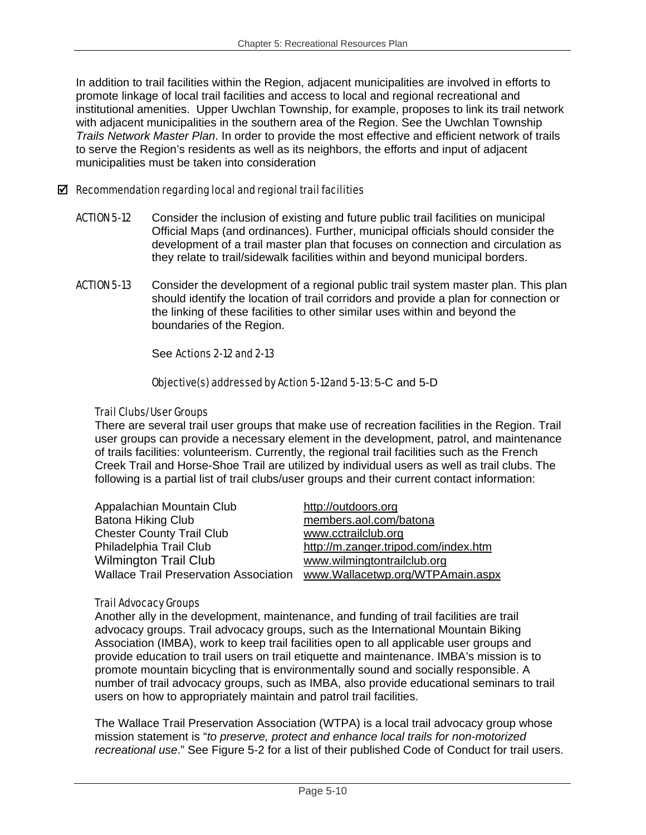In addition to trail facilities within the Region, adjacent municipalities are involved in efforts to promote linkage of local trail facilities and access to local and regional recreational and institutional amenities. Upper Uwchlan Township, for example, proposes to link its trail network with adjacent municipalities in the southern area of the Region. See the Uwchlan Township *Trails Network Master Plan*. In order to provide the most effective and efficient network of trails to serve the Region's residents as well as its neighbors, the efforts and input of adjacent municipalities must be taken into consideration

#### $\boxtimes$  Recommendation regarding local and regional trail facilities

- **ACTION 5-12** Consider the inclusion of existing and future public trail facilities on municipal Official Maps (and ordinances). Further, municipal officials should consider the development of a trail master plan that focuses on connection and circulation as they relate to trail/sidewalk facilities within and beyond municipal borders.
- **ACTION 5-13** Consider the development of a regional public trail system master plan. This plan should identify the location of trail corridors and provide a plan for connection or the linking of these facilities to other similar uses within and beyond the boundaries of the Region.

#### See Actions 2-12 and 2-13

#### Objective(s) addressed by Action 5-12and 5-13: 5-C and 5-D

#### Trail Clubs/User Groups

There are several trail user groups that make use of recreation facilities in the Region. Trail user groups can provide a necessary element in the development, patrol, and maintenance of trails facilities: volunteerism. Currently, the regional trail facilities such as the French Creek Trail and Horse-Shoe Trail are utilized by individual users as well as trail clubs. The following is a partial list of trail clubs/user groups and their current contact information:

| Appalachian Mountain Club                     | http://outdoors.org                  |
|-----------------------------------------------|--------------------------------------|
| <b>Batona Hiking Club</b>                     | members.aol.com/batona               |
| <b>Chester County Trail Club</b>              | www.cctrailclub.org                  |
| Philadelphia Trail Club                       | http://m.zanger.tripod.com/index.htm |
| <b>Wilmington Trail Club</b>                  | www.wilmingtontrailclub.org          |
| <b>Wallace Trail Preservation Association</b> | www.Wallacetwp.org/WTPAmain.aspx     |

#### Trail Advocacy Groups

Another ally in the development, maintenance, and funding of trail facilities are trail advocacy groups. Trail advocacy groups, such as the International Mountain Biking Association (IMBA), work to keep trail facilities open to all applicable user groups and provide education to trail users on trail etiquette and maintenance. IMBA's mission is to promote mountain bicycling that is environmentally sound and socially responsible. A number of trail advocacy groups, such as IMBA, also provide educational seminars to trail users on how to appropriately maintain and patrol trail facilities.

The Wallace Trail Preservation Association (WTPA) is a local trail advocacy group whose mission statement is "*to preserve, protect and enhance local trails for non-motorized recreational use*." See Figure 5-2 for a list of their published Code of Conduct for trail users.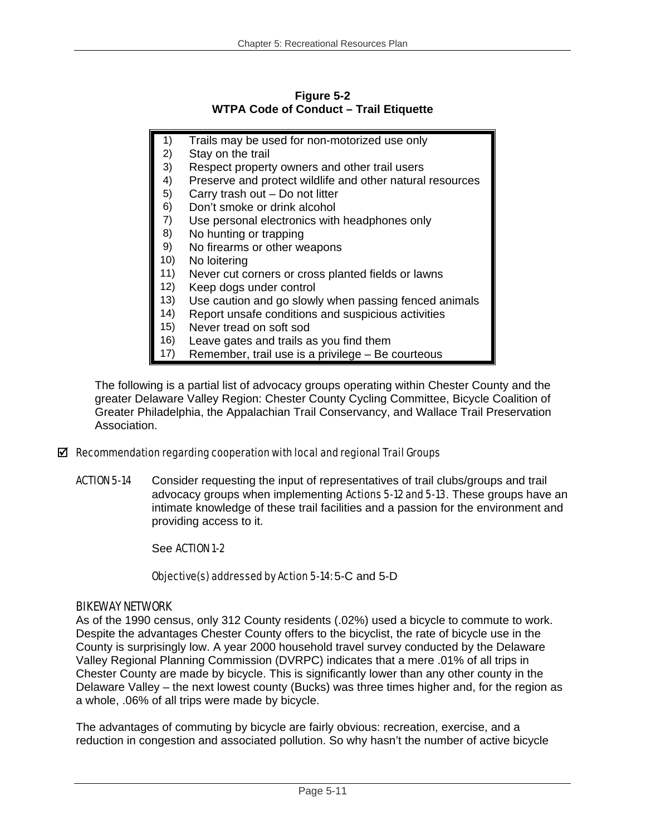#### **Figure 5-2 WTPA Code of Conduct – Trail Etiquette**

- 1) Trails may be used for non-motorized use only
- 2) Stay on the trail
- 3) Respect property owners and other trail users
- 4) Preserve and protect wildlife and other natural resources
- 5) Carry trash out Do not litter
- 6) Don't smoke or drink alcohol
- 7) Use personal electronics with headphones only
- 8) No hunting or trapping
- 9) No firearms or other weapons
- 10) No loitering
- 11) Never cut corners or cross planted fields or lawns
- 12) Keep dogs under control
- 13) Use caution and go slowly when passing fenced animals
- 14) Report unsafe conditions and suspicious activities
- 15) Never tread on soft sod
- 16) Leave gates and trails as you find them
- 17) Remember, trail use is a privilege Be courteous

The following is a partial list of advocacy groups operating within Chester County and the greater Delaware Valley Region: Chester County Cycling Committee, Bicycle Coalition of Greater Philadelphia, the Appalachian Trail Conservancy, and Wallace Trail Preservation Association.

#### $\boxtimes$  Recommendation regarding cooperation with local and regional Trail Groups

ACTION 5-14 Consider requesting the input of representatives of trail clubs/groups and trail advocacy groups when implementing Actions 5-12 and 5-13. These groups have an intimate knowledge of these trail facilities and a passion for the environment and providing access to it.

#### See ACTION 1-2

## Objective(s) addressed by Action 5-14: 5-C and 5-D

#### BIKEWAY NETWORK

As of the 1990 census, only 312 County residents (.02%) used a bicycle to commute to work. Despite the advantages Chester County offers to the bicyclist, the rate of bicycle use in the County is surprisingly low. A year 2000 household travel survey conducted by the Delaware Valley Regional Planning Commission (DVRPC) indicates that a mere .01% of all trips in Chester County are made by bicycle. This is significantly lower than any other county in the Delaware Valley – the next lowest county (Bucks) was three times higher and, for the region as a whole, .06% of all trips were made by bicycle.

The advantages of commuting by bicycle are fairly obvious: recreation, exercise, and a reduction in congestion and associated pollution. So why hasn't the number of active bicycle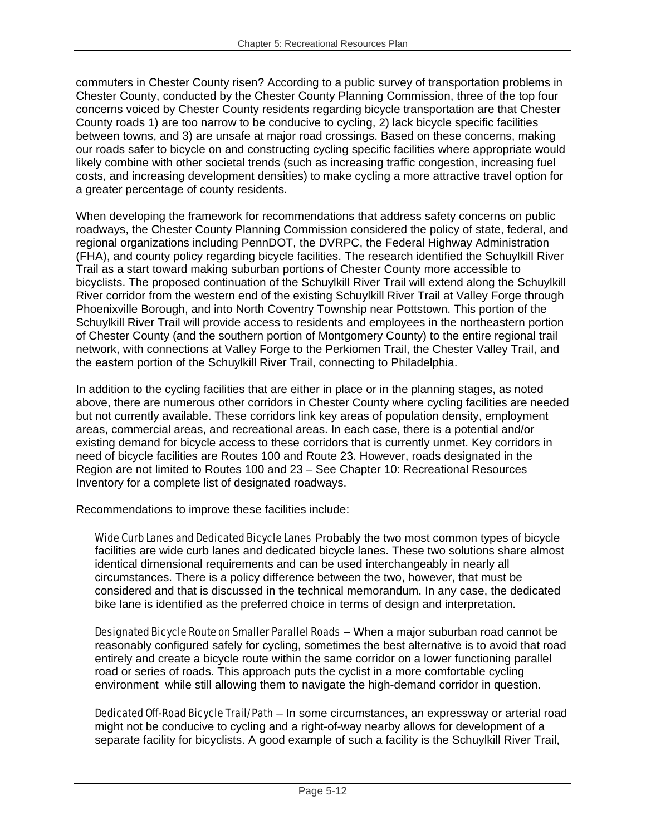commuters in Chester County risen? According to a public survey of transportation problems in Chester County, conducted by the Chester County Planning Commission, three of the top four concerns voiced by Chester County residents regarding bicycle transportation are that Chester County roads 1) are too narrow to be conducive to cycling, 2) lack bicycle specific facilities between towns, and 3) are unsafe at major road crossings. Based on these concerns, making our roads safer to bicycle on and constructing cycling specific facilities where appropriate would likely combine with other societal trends (such as increasing traffic congestion, increasing fuel costs, and increasing development densities) to make cycling a more attractive travel option for a greater percentage of county residents.

When developing the framework for recommendations that address safety concerns on public roadways, the Chester County Planning Commission considered the policy of state, federal, and regional organizations including PennDOT, the DVRPC, the Federal Highway Administration (FHA), and county policy regarding bicycle facilities. The research identified the Schuylkill River Trail as a start toward making suburban portions of Chester County more accessible to bicyclists. The proposed continuation of the Schuylkill River Trail will extend along the Schuylkill River corridor from the western end of the existing Schuylkill River Trail at Valley Forge through Phoenixville Borough, and into North Coventry Township near Pottstown. This portion of the Schuylkill River Trail will provide access to residents and employees in the northeastern portion of Chester County (and the southern portion of Montgomery County) to the entire regional trail network, with connections at Valley Forge to the Perkiomen Trail, the Chester Valley Trail, and the eastern portion of the Schuylkill River Trail, connecting to Philadelphia.

In addition to the cycling facilities that are either in place or in the planning stages, as noted above, there are numerous other corridors in Chester County where cycling facilities are needed but not currently available. These corridors link key areas of population density, employment areas, commercial areas, and recreational areas. In each case, there is a potential and/or existing demand for bicycle access to these corridors that is currently unmet. Key corridors in need of bicycle facilities are Routes 100 and Route 23. However, roads designated in the Region are not limited to Routes 100 and 23 – See Chapter 10: Recreational Resources Inventory for a complete list of designated roadways.

Recommendations to improve these facilities include:

Wide Curb Lanes and Dedicated Bicycle Lanes Probably the two most common types of bicycle facilities are wide curb lanes and dedicated bicycle lanes. These two solutions share almost identical dimensional requirements and can be used interchangeably in nearly all circumstances. There is a policy difference between the two, however, that must be considered and that is discussed in the technical memorandum. In any case, the dedicated bike lane is identified as the preferred choice in terms of design and interpretation.

Designated Bicycle Route on Smaller Parallel Roads – When a major suburban road cannot be reasonably configured safely for cycling, sometimes the best alternative is to avoid that road entirely and create a bicycle route within the same corridor on a lower functioning parallel road or series of roads. This approach puts the cyclist in a more comfortable cycling environment while still allowing them to navigate the high-demand corridor in question.

Dedicated Off-Road Bicycle Trail/Path – In some circumstances, an expressway or arterial road might not be conducive to cycling and a right-of-way nearby allows for development of a separate facility for bicyclists. A good example of such a facility is the Schuylkill River Trail,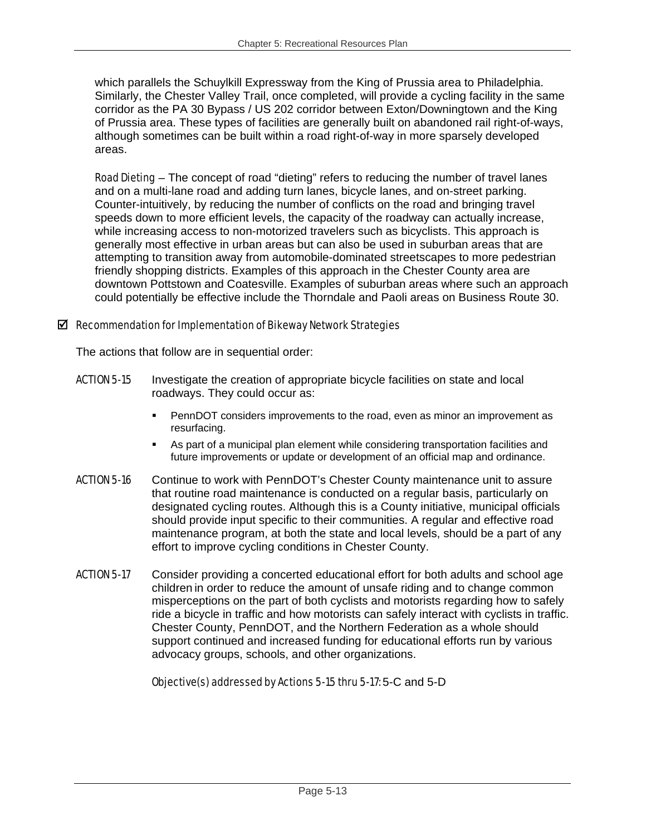which parallels the Schuylkill Expressway from the King of Prussia area to Philadelphia. Similarly, the Chester Valley Trail, once completed, will provide a cycling facility in the same corridor as the PA 30 Bypass / US 202 corridor between Exton/Downingtown and the King of Prussia area. These types of facilities are generally built on abandoned rail right-of-ways, although sometimes can be built within a road right-of-way in more sparsely developed areas.

Road Dieting – The concept of road "dieting" refers to reducing the number of travel lanes and on a multi-lane road and adding turn lanes, bicycle lanes, and on-street parking. Counter-intuitively, by reducing the number of conflicts on the road and bringing travel speeds down to more efficient levels, the capacity of the roadway can actually increase, while increasing access to non-motorized travelers such as bicyclists. This approach is generally most effective in urban areas but can also be used in suburban areas that are attempting to transition away from automobile-dominated streetscapes to more pedestrian friendly shopping districts. Examples of this approach in the Chester County area are downtown Pottstown and Coatesville. Examples of suburban areas where such an approach could potentially be effective include the Thorndale and Paoli areas on Business Route 30.

#### $\boxtimes$  Recommendation for Implementation of Bikeway Network Strategies

The actions that follow are in sequential order:

- **ACTION 5-15** Investigate the creation of appropriate bicycle facilities on state and local roadways. They could occur as:
	- PennDOT considers improvements to the road, even as minor an improvement as resurfacing.
	- As part of a municipal plan element while considering transportation facilities and future improvements or update or development of an official map and ordinance.
- ACTION 5-16 Continue to work with PennDOT's Chester County maintenance unit to assure that routine road maintenance is conducted on a regular basis, particularly on designated cycling routes. Although this is a County initiative, municipal officials should provide input specific to their communities. A regular and effective road maintenance program, at both the state and local levels, should be a part of any effort to improve cycling conditions in Chester County.
- ACTION 5-17 Consider providing a concerted educational effort for both adults and school age children in order to reduce the amount of unsafe riding and to change common misperceptions on the part of both cyclists and motorists regarding how to safely ride a bicycle in traffic and how motorists can safely interact with cyclists in traffic. Chester County, PennDOT, and the Northern Federation as a whole should support continued and increased funding for educational efforts run by various advocacy groups, schools, and other organizations.

## Objective(s) addressed by Actions 5-15 thru 5-17: 5-C and 5-D